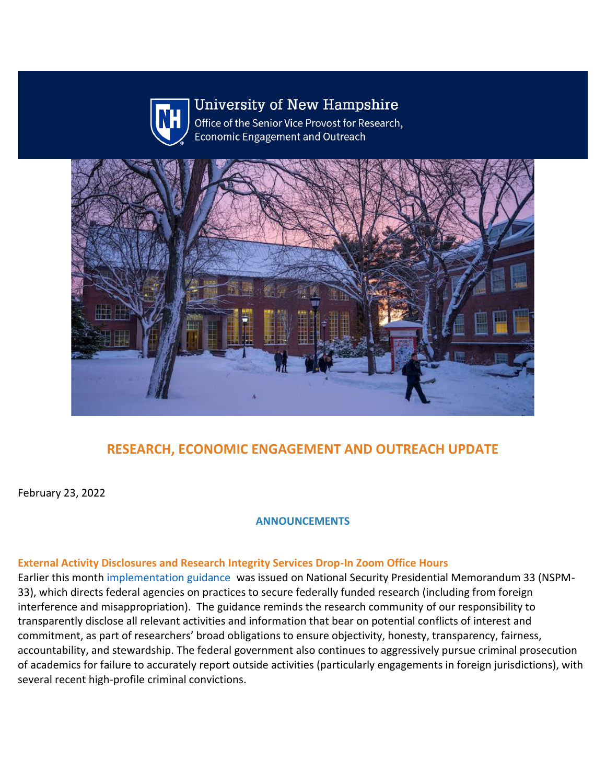

# **University of New Hampshire**

Office of the Senior Vice Provost for Research, **Economic Engagement and Outreach** 



# **RESEARCH, ECONOMIC ENGAGEMENT AND OUTREACH UPDATE**

February 23, 2022

**ANNOUNCEMENTS**

#### **External Activity Disclosures and Research Integrity Services Drop-In Zoom Office Hours**

Earlier this month [implementation guidance](https://nam12.safelinks.protection.outlook.com/?url=https%3A%2F%2Fclick.send.unh.edu%2F%3Fqs%3D29a9ba1ca99b7103a039cb26be92af331eee4e95f904d7ae794d91e0051a2b36d1d73a9a6396a51c70656c642818aa4497651fa549ab04b4&data=04%7C01%7CNicole.Hentz%40unh.edu%7C43646691713549a3f3af08d9f7026af5%7Cd6241893512d46dc8d2bbe47e25f5666%7C0%7C0%7C637812412029086616%7CUnknown%7CTWFpbGZsb3d8eyJWIjoiMC4wLjAwMDAiLCJQIjoiV2luMzIiLCJBTiI6Ik1haWwiLCJXVCI6Mn0%3D%7C3000&sdata=PYpklKninWP1tDZ6V7v%2FUCs9VC2aRSPMDRiSc3QdTkk%3D&reserved=0) was issued on National Security Presidential Memorandum 33 (NSPM-33), which directs federal agencies on practices to secure federally funded research (including from foreign interference and misappropriation). The guidance reminds the research community of our responsibility to transparently disclose all relevant activities and information that bear on potential conflicts of interest and commitment, as part of researchers' broad obligations to ensure objectivity, honesty, transparency, fairness, accountability, and stewardship. The federal government also continues to aggressively pursue criminal prosecution of academics for failure to accurately report outside activities (particularly engagements in foreign jurisdictions), with several recent high-profile criminal convictions.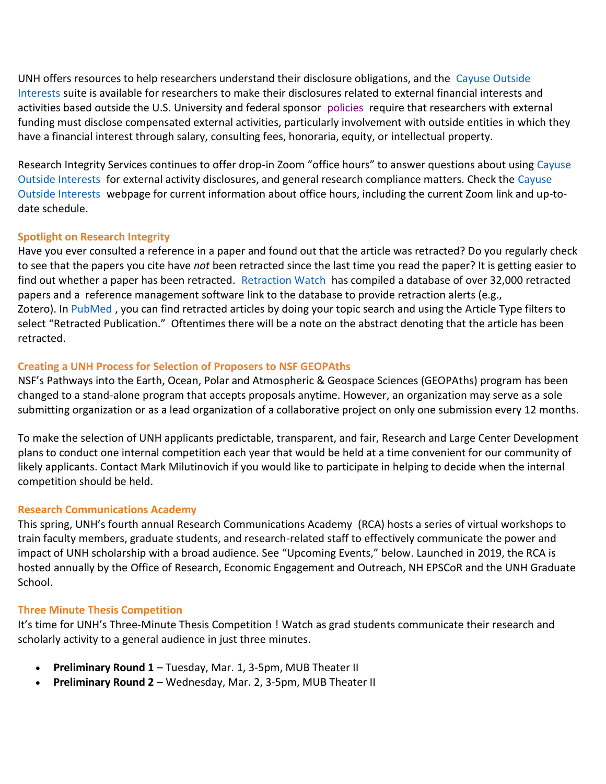UNH offers resources to help researchers understand their disclosure obligations, and the [Cayuse Outside](https://nam12.safelinks.protection.outlook.com/?url=https%3A%2F%2Fclick.send.unh.edu%2F%3Fqs%3D29a9ba1ca99b7103cf14e11f8f4cfefeeaeefe3495e50d5ea3ee907a3c49d896c1c407912e28aa90fb73949dcfa7684259d7d68a44c25993&data=04%7C01%7CNicole.Hentz%40unh.edu%7C43646691713549a3f3af08d9f7026af5%7Cd6241893512d46dc8d2bbe47e25f5666%7C0%7C0%7C637812412029086616%7CUnknown%7CTWFpbGZsb3d8eyJWIjoiMC4wLjAwMDAiLCJQIjoiV2luMzIiLCJBTiI6Ik1haWwiLCJXVCI6Mn0%3D%7C3000&sdata=x8AmJ5ah6I3JnfOwisfFAs5g2BKfCItEp22sJkJdTeY%3D&reserved=0)  [Interests](https://nam12.safelinks.protection.outlook.com/?url=https%3A%2F%2Fclick.send.unh.edu%2F%3Fqs%3D29a9ba1ca99b7103cf14e11f8f4cfefeeaeefe3495e50d5ea3ee907a3c49d896c1c407912e28aa90fb73949dcfa7684259d7d68a44c25993&data=04%7C01%7CNicole.Hentz%40unh.edu%7C43646691713549a3f3af08d9f7026af5%7Cd6241893512d46dc8d2bbe47e25f5666%7C0%7C0%7C637812412029086616%7CUnknown%7CTWFpbGZsb3d8eyJWIjoiMC4wLjAwMDAiLCJQIjoiV2luMzIiLCJBTiI6Ik1haWwiLCJXVCI6Mn0%3D%7C3000&sdata=x8AmJ5ah6I3JnfOwisfFAs5g2BKfCItEp22sJkJdTeY%3D&reserved=0) suite is available for researchers to make their disclosures related to external financial interests and activities based outside the U.S. University and federal sponsor [policies](https://nam12.safelinks.protection.outlook.com/?url=https%3A%2F%2Fclick.send.unh.edu%2F%3Fqs%3D29a9ba1ca99b71037b683d7d73fbe01177531c428d8177629919fd616cb271792d0b966c5e159844d114cf1e63c448509afaa62bb06f915f&data=04%7C01%7CNicole.Hentz%40unh.edu%7C43646691713549a3f3af08d9f7026af5%7Cd6241893512d46dc8d2bbe47e25f5666%7C0%7C0%7C637812412029086616%7CUnknown%7CTWFpbGZsb3d8eyJWIjoiMC4wLjAwMDAiLCJQIjoiV2luMzIiLCJBTiI6Ik1haWwiLCJXVCI6Mn0%3D%7C3000&sdata=OrJWkUZlWQ9Hwks5jFlafqy311o3MvzVaaPL8yfc%2FUY%3D&reserved=0) require that researchers with external funding must disclose compensated external activities, particularly involvement with outside entities in which they have a financial interest through salary, consulting fees, honoraria, equity, or intellectual property.

Research Integrity Services continues to offer drop-in Zoom "office hours" to answer questions about using [Cayuse](https://nam12.safelinks.protection.outlook.com/?url=https%3A%2F%2Fclick.send.unh.edu%2F%3Fqs%3D29a9ba1ca99b7103cf14e11f8f4cfefeeaeefe3495e50d5ea3ee907a3c49d896c1c407912e28aa90fb73949dcfa7684259d7d68a44c25993&data=04%7C01%7CNicole.Hentz%40unh.edu%7C43646691713549a3f3af08d9f7026af5%7Cd6241893512d46dc8d2bbe47e25f5666%7C0%7C0%7C637812412029086616%7CUnknown%7CTWFpbGZsb3d8eyJWIjoiMC4wLjAwMDAiLCJQIjoiV2luMzIiLCJBTiI6Ik1haWwiLCJXVCI6Mn0%3D%7C3000&sdata=x8AmJ5ah6I3JnfOwisfFAs5g2BKfCItEp22sJkJdTeY%3D&reserved=0)  [Outside Interests](https://nam12.safelinks.protection.outlook.com/?url=https%3A%2F%2Fclick.send.unh.edu%2F%3Fqs%3D29a9ba1ca99b7103cf14e11f8f4cfefeeaeefe3495e50d5ea3ee907a3c49d896c1c407912e28aa90fb73949dcfa7684259d7d68a44c25993&data=04%7C01%7CNicole.Hentz%40unh.edu%7C43646691713549a3f3af08d9f7026af5%7Cd6241893512d46dc8d2bbe47e25f5666%7C0%7C0%7C637812412029086616%7CUnknown%7CTWFpbGZsb3d8eyJWIjoiMC4wLjAwMDAiLCJQIjoiV2luMzIiLCJBTiI6Ik1haWwiLCJXVCI6Mn0%3D%7C3000&sdata=x8AmJ5ah6I3JnfOwisfFAs5g2BKfCItEp22sJkJdTeY%3D&reserved=0) for external activity disclosures, and general research compliance matters. Check the [Cayuse](https://nam12.safelinks.protection.outlook.com/?url=https%3A%2F%2Fclick.send.unh.edu%2F%3Fqs%3D29a9ba1ca99b7103cf14e11f8f4cfefeeaeefe3495e50d5ea3ee907a3c49d896c1c407912e28aa90fb73949dcfa7684259d7d68a44c25993&data=04%7C01%7CNicole.Hentz%40unh.edu%7C43646691713549a3f3af08d9f7026af5%7Cd6241893512d46dc8d2bbe47e25f5666%7C0%7C0%7C637812412029086616%7CUnknown%7CTWFpbGZsb3d8eyJWIjoiMC4wLjAwMDAiLCJQIjoiV2luMzIiLCJBTiI6Ik1haWwiLCJXVCI6Mn0%3D%7C3000&sdata=x8AmJ5ah6I3JnfOwisfFAs5g2BKfCItEp22sJkJdTeY%3D&reserved=0)  [Outside Interests](https://nam12.safelinks.protection.outlook.com/?url=https%3A%2F%2Fclick.send.unh.edu%2F%3Fqs%3D29a9ba1ca99b7103cf14e11f8f4cfefeeaeefe3495e50d5ea3ee907a3c49d896c1c407912e28aa90fb73949dcfa7684259d7d68a44c25993&data=04%7C01%7CNicole.Hentz%40unh.edu%7C43646691713549a3f3af08d9f7026af5%7Cd6241893512d46dc8d2bbe47e25f5666%7C0%7C0%7C637812412029086616%7CUnknown%7CTWFpbGZsb3d8eyJWIjoiMC4wLjAwMDAiLCJQIjoiV2luMzIiLCJBTiI6Ik1haWwiLCJXVCI6Mn0%3D%7C3000&sdata=x8AmJ5ah6I3JnfOwisfFAs5g2BKfCItEp22sJkJdTeY%3D&reserved=0) webpage for current information about office hours, including the current Zoom link and up-todate schedule.

## **Spotlight on Research Integrity**

Have you ever consulted a reference in a paper and found out that the article was retracted? Do you regularly check to see that the papers you cite have *not* been retracted since the last time you read the paper? It is getting easier to find out whether a paper has been retracted. [Retraction Watch](https://nam12.safelinks.protection.outlook.com/?url=https%3A%2F%2Fclick.send.unh.edu%2F%3Fqs%3D29a9ba1ca99b71031ccf7ea306872f7453b5170dc386e4fc3dbff52aa692144180515b933354fd2593535eeb44ff218a9ea8c828c0104d02&data=04%7C01%7CNicole.Hentz%40unh.edu%7C43646691713549a3f3af08d9f7026af5%7Cd6241893512d46dc8d2bbe47e25f5666%7C0%7C0%7C637812412029086616%7CUnknown%7CTWFpbGZsb3d8eyJWIjoiMC4wLjAwMDAiLCJQIjoiV2luMzIiLCJBTiI6Ik1haWwiLCJXVCI6Mn0%3D%7C3000&sdata=gwEBHxA9fuMzzzG8hK9VpXEA1mZ9Lkm10OwT61WmRDQ%3D&reserved=0) has compiled a database of over 32,000 retracted papers and a reference management software link to the database to provide retraction alerts (e.g., Zotero). In [PubMed](https://nam12.safelinks.protection.outlook.com/?url=https%3A%2F%2Fclick.send.unh.edu%2F%3Fqs%3D29a9ba1ca99b7103fb347d0901735d24a53db4f3e4759026ab032dbf3733b14b02b7ff44cca0762cdff9d7fc376f71895831fa80ea319981&data=04%7C01%7CNicole.Hentz%40unh.edu%7C43646691713549a3f3af08d9f7026af5%7Cd6241893512d46dc8d2bbe47e25f5666%7C0%7C0%7C637812412029086616%7CUnknown%7CTWFpbGZsb3d8eyJWIjoiMC4wLjAwMDAiLCJQIjoiV2luMzIiLCJBTiI6Ik1haWwiLCJXVCI6Mn0%3D%7C3000&sdata=bnl8q5ud2cAhDGTDY%2BOWhA0kGsm8D%2Fr9QivqrllQI0U%3D&reserved=0), you can find retracted articles by doing your topic search and using the Article Type filters to select "Retracted Publication." Oftentimes there will be a note on the abstract denoting that the article has been retracted.

## **Creating a UNH Process for Selection of Proposers to NSF GEOPAths**

NSF's [Pathways into the Earth, Ocean, Polar and Atmospheric & Geospace Sciences \(GEOPAths\) program](https://nam12.safelinks.protection.outlook.com/?url=https%3A%2F%2Fclick.send.unh.edu%2F%3Fqs%3D29a9ba1ca99b7103a4e94384755bc22f2f315bc3ca88ea4e31f7604aceb5502c3ce94663b4d0bb3824431fa42286798975780a0f4161873c&data=04%7C01%7CNicole.Hentz%40unh.edu%7C43646691713549a3f3af08d9f7026af5%7Cd6241893512d46dc8d2bbe47e25f5666%7C0%7C0%7C637812412029086616%7CUnknown%7CTWFpbGZsb3d8eyJWIjoiMC4wLjAwMDAiLCJQIjoiV2luMzIiLCJBTiI6Ik1haWwiLCJXVCI6Mn0%3D%7C3000&sdata=arkuUvH3%2FiY3TNqFAq0wzsZk9RHX5EYWYv5uqa%2BWPHk%3D&reserved=0) has been changed to a stand-alone program that accepts proposals anytime. However, an organization may serve as a sole submitting organization or as a lead organization of a collaborative project on only one submission every 12 months.

To make the selection of UNH applicants predictable, transparent, and fair, Research and Large Center Development plans to conduct one internal competition each year that would be held at a time convenient for our community of likely applicants. Contact [Mark Milutinovich](mailto:Mark.milutinovich@unh.edu) if you would like to participate in helping to decide when the internal competition should be held.

#### **Research Communications Academy**

This spring, UNH's fourth annual [Research Communications Academy](https://nam12.safelinks.protection.outlook.com/?url=https%3A%2F%2Fclick.send.unh.edu%2F%3Fqs%3D29a9ba1ca99b710384720564f06a663f1d2fd931430eb165b173d9cc33679bda4a674a5b9215496097c6a861d7a90805d71ce58d277afaea&data=04%7C01%7CNicole.Hentz%40unh.edu%7C43646691713549a3f3af08d9f7026af5%7Cd6241893512d46dc8d2bbe47e25f5666%7C0%7C0%7C637812412029086616%7CUnknown%7CTWFpbGZsb3d8eyJWIjoiMC4wLjAwMDAiLCJQIjoiV2luMzIiLCJBTiI6Ik1haWwiLCJXVCI6Mn0%3D%7C3000&sdata=8HqQl4%2BbbiMOHPEuRGTVHWZcOt6t2oeXXfkf8%2FkcqPU%3D&reserved=0) (RCA) hosts a series of virtual workshops to train faculty members, graduate students, and research-related staff to effectively communicate the power and impact of UNH scholarship with a broad audience. See "Upcoming Events," below. Launched in 2019, the RCA is hosted annually by the [Office of Research, Economic Engagement and Outreach,](https://nam12.safelinks.protection.outlook.com/?url=https%3A%2F%2Fclick.send.unh.edu%2F%3Fqs%3D29a9ba1ca99b710388b79ea7c922286cfd81878d9715a6046a7a0fb57b0a9849f70d1b8cbc14854c7e294a05c48386942009e82a7b8ea821&data=04%7C01%7CNicole.Hentz%40unh.edu%7C43646691713549a3f3af08d9f7026af5%7Cd6241893512d46dc8d2bbe47e25f5666%7C0%7C0%7C637812412029086616%7CUnknown%7CTWFpbGZsb3d8eyJWIjoiMC4wLjAwMDAiLCJQIjoiV2luMzIiLCJBTiI6Ik1haWwiLCJXVCI6Mn0%3D%7C3000&sdata=KkBNxxGaL7k9vUI3AAPtZHDNaXxWowvIN8WP%2FXVfzJs%3D&reserved=0) [NH EPSCoR](https://nam12.safelinks.protection.outlook.com/?url=https%3A%2F%2Fclick.send.unh.edu%2F%3Fqs%3D29a9ba1ca99b7103ccecae9dbb8cb9fa8dd9777e2de889b888f08afdef088bb750e5d54901ad28a1dbe259dec65c768f9b5964c64430e72d&data=04%7C01%7CNicole.Hentz%40unh.edu%7C43646691713549a3f3af08d9f7026af5%7Cd6241893512d46dc8d2bbe47e25f5666%7C0%7C0%7C637812412029086616%7CUnknown%7CTWFpbGZsb3d8eyJWIjoiMC4wLjAwMDAiLCJQIjoiV2luMzIiLCJBTiI6Ik1haWwiLCJXVCI6Mn0%3D%7C3000&sdata=62ivvbjwKuGdjXGHuzIPCOLPEvMLdAtNk8Iva2MBIU0%3D&reserved=0) and the [UNH Graduate](https://nam12.safelinks.protection.outlook.com/?url=https%3A%2F%2Fclick.send.unh.edu%2F%3Fqs%3D29a9ba1ca99b7103949499cd0166a39bf3b5188bb5b23fb0bc542ed2846c3f111912c94773e00ec8939db39c8088d4219df312a121196e24&data=04%7C01%7CNicole.Hentz%40unh.edu%7C43646691713549a3f3af08d9f7026af5%7Cd6241893512d46dc8d2bbe47e25f5666%7C0%7C0%7C637812412029086616%7CUnknown%7CTWFpbGZsb3d8eyJWIjoiMC4wLjAwMDAiLCJQIjoiV2luMzIiLCJBTiI6Ik1haWwiLCJXVCI6Mn0%3D%7C3000&sdata=J0GwRM%2FRzyHcAKA4Im0i%2FKCzNf17CmyR7qNbK9MaIZE%3D&reserved=0)  [School.](https://nam12.safelinks.protection.outlook.com/?url=https%3A%2F%2Fclick.send.unh.edu%2F%3Fqs%3D29a9ba1ca99b7103949499cd0166a39bf3b5188bb5b23fb0bc542ed2846c3f111912c94773e00ec8939db39c8088d4219df312a121196e24&data=04%7C01%7CNicole.Hentz%40unh.edu%7C43646691713549a3f3af08d9f7026af5%7Cd6241893512d46dc8d2bbe47e25f5666%7C0%7C0%7C637812412029086616%7CUnknown%7CTWFpbGZsb3d8eyJWIjoiMC4wLjAwMDAiLCJQIjoiV2luMzIiLCJBTiI6Ik1haWwiLCJXVCI6Mn0%3D%7C3000&sdata=J0GwRM%2FRzyHcAKA4Im0i%2FKCzNf17CmyR7qNbK9MaIZE%3D&reserved=0)

#### **Three Minute Thesis Competition**

It's time for UNH's [Three-Minute](https://nam12.safelinks.protection.outlook.com/?url=https%3A%2F%2Fclick.send.unh.edu%2F%3Fqs%3D29a9ba1ca99b7103d0580c5bbb91506e68fe7c6679da8c7bfa55c6f9d620be75078193d82d9471079332d5ea0dda7c9a4f8013196245f42e&data=04%7C01%7CNicole.Hentz%40unh.edu%7C43646691713549a3f3af08d9f7026af5%7Cd6241893512d46dc8d2bbe47e25f5666%7C0%7C0%7C637812412029086616%7CUnknown%7CTWFpbGZsb3d8eyJWIjoiMC4wLjAwMDAiLCJQIjoiV2luMzIiLCJBTiI6Ik1haWwiLCJXVCI6Mn0%3D%7C3000&sdata=ljTHdC%2Br1oa8HoGBAMi8Q8ezXzdOfePIpAeKCOMQMhY%3D&reserved=0) Thesis Competition ! Watch as grad students communicate their research and scholarly activity to a general audience in just three minutes.

- **Preliminary Round 1** Tuesday, Mar. 1, 3-5pm, MUB Theater II
- **Preliminary Round 2** Wednesday, Mar. 2, 3-5pm, MUB Theater II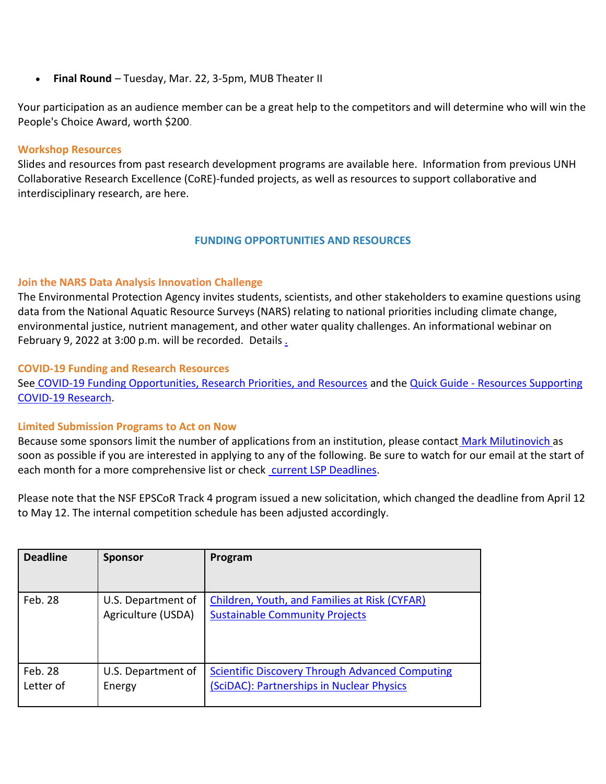• **Final Round** – Tuesday, Mar. 22, 3-5pm, MUB Theater II

Your participation as an audience member can be a great help to the competitors and will determine who will win the People's Choice Award, worth \$200.

#### **Workshop Resources**

Slides and resources from past research development programs are available [here.](https://nam12.safelinks.protection.outlook.com/?url=https%3A%2F%2Fclick.send.unh.edu%2F%3Fqs%3D29a9ba1ca99b7103b75e09889c081b2b7d911c0c27a12f3e2db7e6e9a2894bcb80a5aee598e90b9122219ab7c12345e0374a443f601c8d40&data=04%7C01%7CNicole.Hentz%40unh.edu%7C43646691713549a3f3af08d9f7026af5%7Cd6241893512d46dc8d2bbe47e25f5666%7C0%7C0%7C637812412029086616%7CUnknown%7CTWFpbGZsb3d8eyJWIjoiMC4wLjAwMDAiLCJQIjoiV2luMzIiLCJBTiI6Ik1haWwiLCJXVCI6Mn0%3D%7C3000&sdata=%2FlF%2FmS7WoMbe3eeZQEV0WzImhyme%2B%2BeZc5KMKrF2WU4%3D&reserved=0) Information from previous UNH Collaborative Research Excellence (CoRE)-funded projects, as well as resources to support collaborative and interdisciplinary research, are [here.](https://nam12.safelinks.protection.outlook.com/?url=https%3A%2F%2Fclick.send.unh.edu%2F%3Fqs%3D29a9ba1ca99b7103c2fc235d04c91e5ecfbab977363eff40e012df1d84221b5e3aaf0eb5a0910a073f06c36fd11e59ad18914280d79b54bd&data=04%7C01%7CNicole.Hentz%40unh.edu%7C43646691713549a3f3af08d9f7026af5%7Cd6241893512d46dc8d2bbe47e25f5666%7C0%7C0%7C637812412029086616%7CUnknown%7CTWFpbGZsb3d8eyJWIjoiMC4wLjAwMDAiLCJQIjoiV2luMzIiLCJBTiI6Ik1haWwiLCJXVCI6Mn0%3D%7C3000&sdata=H3JGgJ4bUjoGiPmfbIUPdQnuBa16Gujf%2B25xOlWSg0g%3D&reserved=0)

## **FUNDING OPPORTUNITIES AND RESOURCES**

## **Join the NARS Data Analysis Innovation Challenge**

The Environmental Protection Agency invites students, scientists, and other stakeholders to examine questions using data from the National Aquatic Resource Surveys (NARS) relating to national priorities including climate change, environmental justice, nutrient management, and other water quality challenges. An informational webinar on February 9, 2022 at 3:00 p.m. will be recorded. [Details](https://nam12.safelinks.protection.outlook.com/?url=https%3A%2F%2Fclick.send.unh.edu%2F%3Fqs%3D29a9ba1ca99b710337fe041eaa7817d9dac86575c00876b66e604e540234384a21af553286e4d57358cd383bf791c3e2c759fbdf9d834941&data=04%7C01%7CNicole.Hentz%40unh.edu%7C43646691713549a3f3af08d9f7026af5%7Cd6241893512d46dc8d2bbe47e25f5666%7C0%7C0%7C637812412029086616%7CUnknown%7CTWFpbGZsb3d8eyJWIjoiMC4wLjAwMDAiLCJQIjoiV2luMzIiLCJBTiI6Ik1haWwiLCJXVCI6Mn0%3D%7C3000&sdata=qZbbA2PwgO2qSRxoikTxzwy7ifxEFFPBb2kpFH4praM%3D&reserved=0).

## **COVID-19 Funding and Research Resources**

See [COVID-19 Funding Opportunities, Research Priorities, and Resources](https://nam12.safelinks.protection.outlook.com/?url=https%3A%2F%2Fclick.send.unh.edu%2F%3Fqs%3D29a9ba1ca99b7103de4932cd53965274c1d17838cfa500ab9469c21b4a4f59aa221cf6a0597f1b5d07245d7d8b245ecd149b2c0131aef830&data=04%7C01%7CNicole.Hentz%40unh.edu%7C43646691713549a3f3af08d9f7026af5%7Cd6241893512d46dc8d2bbe47e25f5666%7C0%7C0%7C637812412029086616%7CUnknown%7CTWFpbGZsb3d8eyJWIjoiMC4wLjAwMDAiLCJQIjoiV2luMzIiLCJBTiI6Ik1haWwiLCJXVCI6Mn0%3D%7C3000&sdata=zTVznqZRv0F8YpVugtHHKgRm%2B1FkqV0LJW6Uc7%2BIBoU%3D&reserved=0) and the Quick Guide - Resources Supporting [COVID-19 Research.](https://nam12.safelinks.protection.outlook.com/?url=https%3A%2F%2Fclick.send.unh.edu%2F%3Fqs%3D29a9ba1ca99b71034d469269e445caa4ffe402be0bad9eae2ba9fa76539936e15cbbdf0bcc313001d1bb37ab73056f7e789d67a9e8a22784&data=04%7C01%7CNicole.Hentz%40unh.edu%7C43646691713549a3f3af08d9f7026af5%7Cd6241893512d46dc8d2bbe47e25f5666%7C0%7C0%7C637812412029086616%7CUnknown%7CTWFpbGZsb3d8eyJWIjoiMC4wLjAwMDAiLCJQIjoiV2luMzIiLCJBTiI6Ik1haWwiLCJXVCI6Mn0%3D%7C3000&sdata=Gzjsqg9235Mo%2BW6GO7SKLkQihO23gKn72SVxU0Q%2FJ1w%3D&reserved=0)

#### **Limited Submission Programs to Act on Now**

Because some sponsors limit the number of applications from an institution, please contact [Mark Milutinovich](mailto:mark.milutinovich@unh.edu) as soon as possible if you are interested in applying to any of the following. Be sure to watch for our email at the start of each month for a more comprehensive list or check [current LSP Deadlines.](https://nam12.safelinks.protection.outlook.com/?url=https%3A%2F%2Fclick.send.unh.edu%2F%3Fqs%3D29a9ba1ca99b7103237a199814c025867533c61585818e277c871d3a9ddc36af5b7a9b7b28e7a8d856285ae0d625d7580e243bb8c6fb57b9&data=04%7C01%7CNicole.Hentz%40unh.edu%7C43646691713549a3f3af08d9f7026af5%7Cd6241893512d46dc8d2bbe47e25f5666%7C0%7C0%7C637812412029086616%7CUnknown%7CTWFpbGZsb3d8eyJWIjoiMC4wLjAwMDAiLCJQIjoiV2luMzIiLCJBTiI6Ik1haWwiLCJXVCI6Mn0%3D%7C3000&sdata=kRl%2BLuKP6uaPaVSfI5wEnR4fNAMrYumNSg6p4vBWIeU%3D&reserved=0)

Please note that the NSF EPSCoR Track 4 program issued a new solicitation, which changed the deadline from April 12 to May 12. The internal competition schedule has been adjusted accordingly.

| <b>Deadline</b> | <b>Sponsor</b>     | Program                                                |
|-----------------|--------------------|--------------------------------------------------------|
|                 |                    |                                                        |
| Feb. 28         | U.S. Department of | Children, Youth, and Families at Risk (CYFAR)          |
|                 | Agriculture (USDA) | <b>Sustainable Community Projects</b>                  |
|                 |                    |                                                        |
|                 |                    |                                                        |
|                 |                    |                                                        |
| Feb. 28         | U.S. Department of | <b>Scientific Discovery Through Advanced Computing</b> |
| Letter of       | Energy             | (SciDAC): Partnerships in Nuclear Physics              |
|                 |                    |                                                        |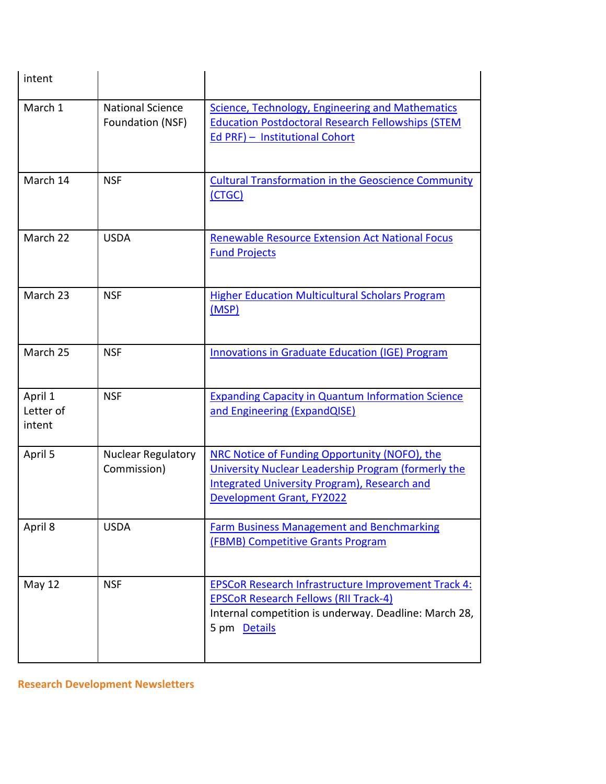| intent                         |                                             |                                                                                                                                                                                                 |
|--------------------------------|---------------------------------------------|-------------------------------------------------------------------------------------------------------------------------------------------------------------------------------------------------|
| March 1                        | <b>National Science</b><br>Foundation (NSF) | Science, Technology, Engineering and Mathematics<br><b>Education Postdoctoral Research Fellowships (STEM</b><br>Ed PRF) - Institutional Cohort                                                  |
| March 14                       | <b>NSF</b>                                  | <b>Cultural Transformation in the Geoscience Community</b><br>(CTGC)                                                                                                                            |
| March 22                       | <b>USDA</b>                                 | <b>Renewable Resource Extension Act National Focus</b><br><b>Fund Projects</b>                                                                                                                  |
| March 23                       | <b>NSF</b>                                  | <b>Higher Education Multicultural Scholars Program</b><br>(MSP)                                                                                                                                 |
| March 25                       | <b>NSF</b>                                  | <b>Innovations in Graduate Education (IGE) Program</b>                                                                                                                                          |
| April 1<br>Letter of<br>intent | <b>NSF</b>                                  | <b>Expanding Capacity in Quantum Information Science</b><br>and Engineering (ExpandQISE)                                                                                                        |
| April 5                        | <b>Nuclear Regulatory</b><br>Commission)    | NRC Notice of Funding Opportunity (NOFO), the<br>University Nuclear Leadership Program (formerly the<br><b>Integrated University Program), Research and</b><br><b>Development Grant, FY2022</b> |
| April 8                        | <b>USDA</b>                                 | <b>Farm Business Management and Benchmarking</b><br><b>(FBMB) Competitive Grants Program</b>                                                                                                    |
| May 12                         | <b>NSF</b>                                  | <b>EPSCoR Research Infrastructure Improvement Track 4:</b><br><b>EPSCoR Research Fellows (RII Track-4)</b><br>Internal competition is underway. Deadline: March 28,<br>5 pm Details             |

**Research Development Newsletters**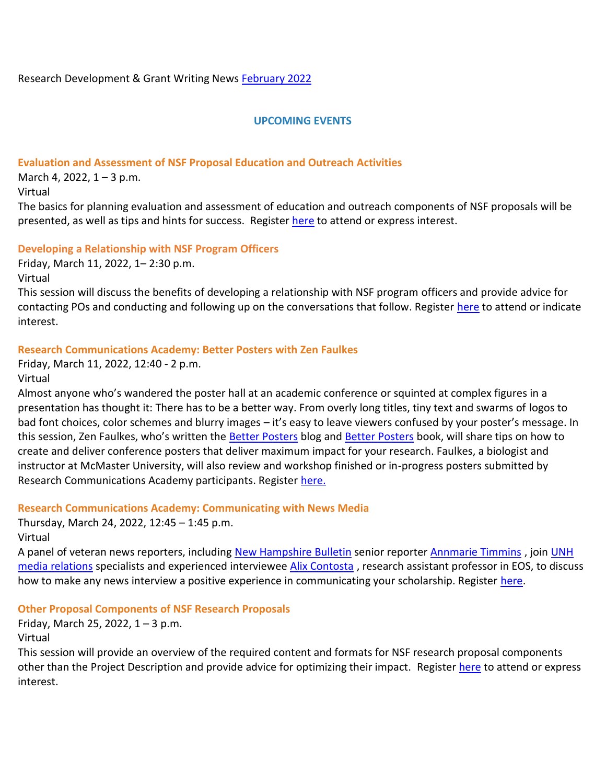Research Development & Grant Writing News [February 2022](https://nam12.safelinks.protection.outlook.com/?url=https%3A%2F%2Fclick.send.unh.edu%2F%3Fqs%3D4c6e8457031b568f3335278cd6ee8f4104d07c3e4d47b2f11ee2c020377722cdc0fcf79cc1c494f23c83acc746953ad40d8d68372687afea&data=04%7C01%7CNicole.Hentz%40unh.edu%7C43646691713549a3f3af08d9f7026af5%7Cd6241893512d46dc8d2bbe47e25f5666%7C0%7C0%7C637812412029242510%7CUnknown%7CTWFpbGZsb3d8eyJWIjoiMC4wLjAwMDAiLCJQIjoiV2luMzIiLCJBTiI6Ik1haWwiLCJXVCI6Mn0%3D%7C3000&sdata=YqGkNaLpcrt4sI6VF7i0zSEEMeNeYhHqIp5UH%2BoTOVg%3D&reserved=0)

## **UPCOMING EVENTS**

## **Evaluation and Assessment of NSF Proposal Education and Outreach Activities**

March 4, 2022,  $1 - 3$  p.m.

Virtual

The basics for planning evaluation and assessment of education and outreach components of NSF proposals will be presented, as well as tips and hints for success. Register [here](https://nam12.safelinks.protection.outlook.com/?url=https%3A%2F%2Fclick.send.unh.edu%2F%3Fqs%3D4c6e8457031b568fd52ff8c2b387e34a0b8308ae60e3c5aa95e8c5aec4891a5de39acc23bb9ad9da4096a0af36e26751488e6b3c9d2443bd&data=04%7C01%7CNicole.Hentz%40unh.edu%7C43646691713549a3f3af08d9f7026af5%7Cd6241893512d46dc8d2bbe47e25f5666%7C0%7C0%7C637812412029242510%7CUnknown%7CTWFpbGZsb3d8eyJWIjoiMC4wLjAwMDAiLCJQIjoiV2luMzIiLCJBTiI6Ik1haWwiLCJXVCI6Mn0%3D%7C3000&sdata=6E7D29GxMw6Dmcgl8kqEExLbcgSVMMfIZsNWPqeZy3I%3D&reserved=0) to attend or express interest.

## **Developing a Relationship with NSF Program Officers**

Friday, March 11, 2022, 1– 2:30 p.m.

Virtual

This session will discuss the benefits of developing a relationship with NSF program officers and provide advice for contacting POs and conducting and following up on the conversations that follow. Register [here](https://nam12.safelinks.protection.outlook.com/?url=https%3A%2F%2Fclick.send.unh.edu%2F%3Fqs%3D4c6e8457031b568f38c91b4790315c7854b28d4206af9f4122c555a5d0d80dbe7d9c1fcfad193de271227f96c2983dbaba73aa2be6d443b7&data=04%7C01%7CNicole.Hentz%40unh.edu%7C43646691713549a3f3af08d9f7026af5%7Cd6241893512d46dc8d2bbe47e25f5666%7C0%7C0%7C637812412029242510%7CUnknown%7CTWFpbGZsb3d8eyJWIjoiMC4wLjAwMDAiLCJQIjoiV2luMzIiLCJBTiI6Ik1haWwiLCJXVCI6Mn0%3D%7C3000&sdata=BHNk8KgUizNil0xY86KkD0WN55ACvzEN9y85xv6%2By4M%3D&reserved=0) to attend or indicate interest.

## **Research Communications Academy: Better Posters with Zen Faulkes**

Friday, March 11, 2022, 12:40 - 2 p.m. Virtual

Almost anyone who's wandered the poster hall at an academic conference or squinted at complex figures in a presentation has thought it: There has to be a better way. From overly long titles, tiny text and swarms of logos to bad font choices, color schemes and blurry images – it's easy to leave viewers confused by your poster's message. In this session, Zen Faulkes, who's written the [Better Posters](https://nam12.safelinks.protection.outlook.com/?url=https%3A%2F%2Fclick.send.unh.edu%2F%3Fqs%3D4c6e8457031b568f4d84ead3d77c532e2565d374288abe6084f6ef014bec6e1fa7ea54148377f738c898e9aa07bd613fa465eb30d983cbe5&data=04%7C01%7CNicole.Hentz%40unh.edu%7C43646691713549a3f3af08d9f7026af5%7Cd6241893512d46dc8d2bbe47e25f5666%7C0%7C0%7C637812412029242510%7CUnknown%7CTWFpbGZsb3d8eyJWIjoiMC4wLjAwMDAiLCJQIjoiV2luMzIiLCJBTiI6Ik1haWwiLCJXVCI6Mn0%3D%7C3000&sdata=3qVWVQ369odfEhaQ2NGm3v%2F%2F%2FJiDAZ1K5iVZOGiCK7A%3D&reserved=0) blog and Better [Posters](https://nam12.safelinks.protection.outlook.com/?url=https%3A%2F%2Fclick.send.unh.edu%2F%3Fqs%3D4c6e8457031b568fb58e27d64cdc00bbc469d8847f716b36ca2a178edbd16a7c9cbbc68b519bc3cd70a481925768ec2c4d51da5d9718c5cf&data=04%7C01%7CNicole.Hentz%40unh.edu%7C43646691713549a3f3af08d9f7026af5%7Cd6241893512d46dc8d2bbe47e25f5666%7C0%7C0%7C637812412029242510%7CUnknown%7CTWFpbGZsb3d8eyJWIjoiMC4wLjAwMDAiLCJQIjoiV2luMzIiLCJBTiI6Ik1haWwiLCJXVCI6Mn0%3D%7C3000&sdata=wHIJ4z69JrJpFCgCBmF9TUFUVIjp8RBDajs37%2B3CU9w%3D&reserved=0) book, will share tips on how to create and deliver conference posters that deliver maximum impact for your research. Faulkes, a biologist and instructor at McMaster University, will also review and workshop finished or in-progress posters submitted by Research Communications Academy participants. Register [here.](https://nam12.safelinks.protection.outlook.com/?url=https%3A%2F%2Fclick.send.unh.edu%2F%3Fqs%3D4c6e8457031b568fc63c99f5f372c8dd56814ff6ad5df3474ec392f0d016e55755937d69481ebee23c0d69d9730c76527c70aba0ed76ef72&data=04%7C01%7CNicole.Hentz%40unh.edu%7C43646691713549a3f3af08d9f7026af5%7Cd6241893512d46dc8d2bbe47e25f5666%7C0%7C0%7C637812412029242510%7CUnknown%7CTWFpbGZsb3d8eyJWIjoiMC4wLjAwMDAiLCJQIjoiV2luMzIiLCJBTiI6Ik1haWwiLCJXVCI6Mn0%3D%7C3000&sdata=IzWOl0O3wdn7tuvQoRcxTTaq6MJsfE9yNuw3FPxGDQ4%3D&reserved=0)

# **Research Communications Academy: Communicating with News Media**

Thursday, March 24, 2022, 12:45 – 1:45 p.m.

Virtual

A panel of veteran news reporters, including [New Hampshire Bulletin](https://nam12.safelinks.protection.outlook.com/?url=https%3A%2F%2Fclick.send.unh.edu%2F%3Fqs%3D4c6e8457031b568f0dfeeb779b811f61a73d85912b1bac3658df9673e5932287ac09c7dc133c4bfadcb73d7475faa7fd71d8a637e83e0a6d&data=04%7C01%7CNicole.Hentz%40unh.edu%7C43646691713549a3f3af08d9f7026af5%7Cd6241893512d46dc8d2bbe47e25f5666%7C0%7C0%7C637812412029242510%7CUnknown%7CTWFpbGZsb3d8eyJWIjoiMC4wLjAwMDAiLCJQIjoiV2luMzIiLCJBTiI6Ik1haWwiLCJXVCI6Mn0%3D%7C3000&sdata=dGs9o5VxBUrOTrdt%2FgiNpOeQqEBPOltdN3rDGN6iwaw%3D&reserved=0) senior reporter [Annmarie Timmins](https://nam12.safelinks.protection.outlook.com/?url=https%3A%2F%2Fclick.send.unh.edu%2F%3Fqs%3D4c6e8457031b568ffbbb5992338a7cec5d5e4940f9cd26d54e6cf6c557b2b19df59d3216a1871d23868e154c286d158b3bc7f7c51523433e&data=04%7C01%7CNicole.Hentz%40unh.edu%7C43646691713549a3f3af08d9f7026af5%7Cd6241893512d46dc8d2bbe47e25f5666%7C0%7C0%7C637812412029242510%7CUnknown%7CTWFpbGZsb3d8eyJWIjoiMC4wLjAwMDAiLCJQIjoiV2luMzIiLCJBTiI6Ik1haWwiLCJXVCI6Mn0%3D%7C3000&sdata=OpYMs7J0ml7El6HnpGTAYatiwZk9pnxoSNdpUQXKg5A%3D&reserved=0) , join [UNH](https://nam12.safelinks.protection.outlook.com/?url=https%3A%2F%2Fclick.send.unh.edu%2F%3Fqs%3D4c6e8457031b568f3d19018f7bc02ff6f5f05fc278641d1bb7e1eea41d89abef72adfc4aad3b833c36f72b086e70bcb97ed3746aa7835384&data=04%7C01%7CNicole.Hentz%40unh.edu%7C43646691713549a3f3af08d9f7026af5%7Cd6241893512d46dc8d2bbe47e25f5666%7C0%7C0%7C637812412029242510%7CUnknown%7CTWFpbGZsb3d8eyJWIjoiMC4wLjAwMDAiLCJQIjoiV2luMzIiLCJBTiI6Ik1haWwiLCJXVCI6Mn0%3D%7C3000&sdata=rEcisJ7gu43wCbANKFPLl33jHaUxabID%2FyFR6XzO%2F1o%3D&reserved=0)  [media relations](https://nam12.safelinks.protection.outlook.com/?url=https%3A%2F%2Fclick.send.unh.edu%2F%3Fqs%3D4c6e8457031b568f3d19018f7bc02ff6f5f05fc278641d1bb7e1eea41d89abef72adfc4aad3b833c36f72b086e70bcb97ed3746aa7835384&data=04%7C01%7CNicole.Hentz%40unh.edu%7C43646691713549a3f3af08d9f7026af5%7Cd6241893512d46dc8d2bbe47e25f5666%7C0%7C0%7C637812412029242510%7CUnknown%7CTWFpbGZsb3d8eyJWIjoiMC4wLjAwMDAiLCJQIjoiV2luMzIiLCJBTiI6Ik1haWwiLCJXVCI6Mn0%3D%7C3000&sdata=rEcisJ7gu43wCbANKFPLl33jHaUxabID%2FyFR6XzO%2F1o%3D&reserved=0) specialists and experienced interviewee [Alix Contosta](https://nam12.safelinks.protection.outlook.com/?url=https%3A%2F%2Fclick.send.unh.edu%2F%3Fqs%3D4c6e8457031b568f5fd8a9737239cb4960e77b7240ddb8a686a9f2773ef1e56665d30aa217e12ad27ba301d042b6415fac15e5a2a58498c2&data=04%7C01%7CNicole.Hentz%40unh.edu%7C43646691713549a3f3af08d9f7026af5%7Cd6241893512d46dc8d2bbe47e25f5666%7C0%7C0%7C637812412029242510%7CUnknown%7CTWFpbGZsb3d8eyJWIjoiMC4wLjAwMDAiLCJQIjoiV2luMzIiLCJBTiI6Ik1haWwiLCJXVCI6Mn0%3D%7C3000&sdata=crVOVKjOWLvb3ovKJcy9GucqbwySKjjPqYkPH27ZEjc%3D&reserved=0), research assistant professor in EOS, to discuss how to make any news interview a positive experience in communicating your scholarship. Register [here.](https://nam12.safelinks.protection.outlook.com/?url=https%3A%2F%2Fclick.send.unh.edu%2F%3Fqs%3D4c6e8457031b568f298b9ee6e12713ff95db03862eb31e0e60e67b0a893dca731ddf7cef456b8822fcf2ee6c4bb3d874ae0e4f610d85ee10&data=04%7C01%7CNicole.Hentz%40unh.edu%7C43646691713549a3f3af08d9f7026af5%7Cd6241893512d46dc8d2bbe47e25f5666%7C0%7C0%7C637812412029242510%7CUnknown%7CTWFpbGZsb3d8eyJWIjoiMC4wLjAwMDAiLCJQIjoiV2luMzIiLCJBTiI6Ik1haWwiLCJXVCI6Mn0%3D%7C3000&sdata=%2BPDAIhVtWjh9p0BjqShPESmtl9NtiwOVX5bzXjMKDck%3D&reserved=0)

#### **Other Proposal Components of NSF Research Proposals**

Friday, March 25, 2022,  $1 - 3$  p.m.

Virtual

This session will provide an overview of the required content and formats for NSF research proposal components other than the Project Description and provide advice for optimizing their impact. Registe[r here](https://nam12.safelinks.protection.outlook.com/?url=https%3A%2F%2Fclick.send.unh.edu%2F%3Fqs%3D4c6e8457031b568fd213e746c90226069aef3fa2a05a150396471204054a729f6ffec5cfb889480468d081abd4baea3d3b3a5cb5c4ab6aa9&data=04%7C01%7CNicole.Hentz%40unh.edu%7C43646691713549a3f3af08d9f7026af5%7Cd6241893512d46dc8d2bbe47e25f5666%7C0%7C0%7C637812412029242510%7CUnknown%7CTWFpbGZsb3d8eyJWIjoiMC4wLjAwMDAiLCJQIjoiV2luMzIiLCJBTiI6Ik1haWwiLCJXVCI6Mn0%3D%7C3000&sdata=f99JqWkgAUIecwbjDlwcP1fJkdFcuED4GK1PyqxjS1c%3D&reserved=0) to attend or express interest.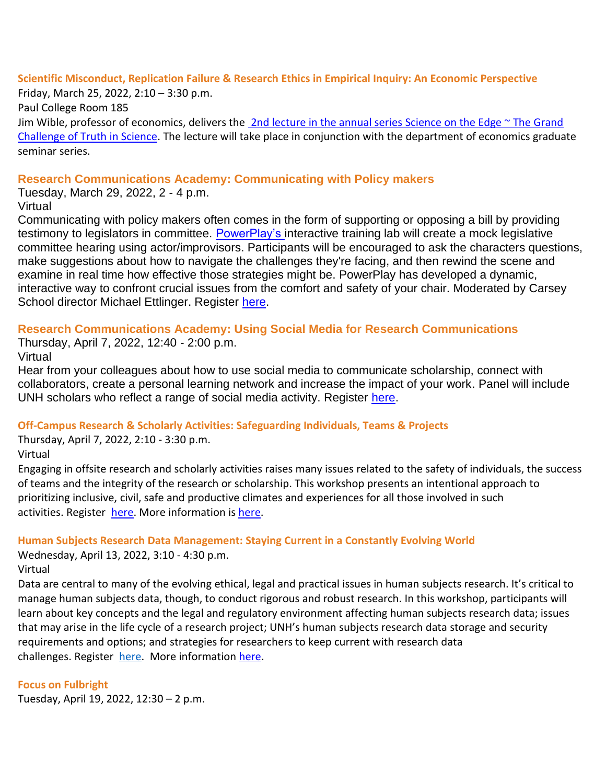## **Scientific Misconduct, Replication Failure & Research Ethics in Empirical Inquiry: An Economic Perspective**

Friday, March 25, 2022, 2:10 – 3:30 p.m. Paul College Room 185 Jim Wible, professor of economics, delivers the  $2nd$  lecture in the annual series Science on the Edge  $\sim$  The Grand [Challenge of Truth in Science.](https://nam12.safelinks.protection.outlook.com/?url=https%3A%2F%2Fclick.send.unh.edu%2F%3Fqs%3D4c6e8457031b568f775adccc54455d94ad6a361bbffcab86e5b2301b4ec96d5c25f5bc78b02de0ef2c68a77fdaaa3d812795c059f8ffede5&data=04%7C01%7CNicole.Hentz%40unh.edu%7C43646691713549a3f3af08d9f7026af5%7Cd6241893512d46dc8d2bbe47e25f5666%7C0%7C0%7C637812412029242510%7CUnknown%7CTWFpbGZsb3d8eyJWIjoiMC4wLjAwMDAiLCJQIjoiV2luMzIiLCJBTiI6Ik1haWwiLCJXVCI6Mn0%3D%7C3000&sdata=a0vXQHPhEJ7aQ3y%2F6VwyIxQ29OrCsSEdMV1q6%2BpbTJs%3D&reserved=0) The lecture will take place in conjunction with the department of economics graduate seminar series.

## **Research Communications Academy: Communicating with Policy makers**

Tuesday, March 29, 2022, 2 - 4 p.m. Virtual

Communicating with policy makers often comes in the form of supporting or opposing a bill by providing testimony to legislators in committee. [PowerPlay's i](https://nam12.safelinks.protection.outlook.com/?url=https%3A%2F%2Fclick.send.unh.edu%2F%3Fqs%3D4c6e8457031b568fd83e281efd539586f34befcb0636a39ee6c858c970e621de6704d9e161efb04065c0106ed109275754d0c6b92683d389&data=04%7C01%7CNicole.Hentz%40unh.edu%7C43646691713549a3f3af08d9f7026af5%7Cd6241893512d46dc8d2bbe47e25f5666%7C0%7C0%7C637812412029242510%7CUnknown%7CTWFpbGZsb3d8eyJWIjoiMC4wLjAwMDAiLCJQIjoiV2luMzIiLCJBTiI6Ik1haWwiLCJXVCI6Mn0%3D%7C3000&sdata=8m7FahAgkXA%2FqKu3IVjmZ7MosqaDa7lDKNv6PC9EY2E%3D&reserved=0)nteractive training lab will create a mock legislative committee hearing using actor/improvisors. Participants will be encouraged to ask the characters questions, make suggestions about how to navigate the challenges they're facing, and then rewind the scene and examine in real time how effective those strategies might be. PowerPlay has developed a dynamic, interactive way to confront crucial issues from the comfort and safety of your chair. Moderated by Carsey School director Michael Ettlinger. Register [here.](https://nam12.safelinks.protection.outlook.com/?url=https%3A%2F%2Fclick.send.unh.edu%2F%3Fqs%3D4c6e8457031b568fca3bb12e2fd390f517e660e3f93361b3e57f868a91d25a18cac10962dc645368af7e9b31379144f1cf19984d58648c29&data=04%7C01%7CNicole.Hentz%40unh.edu%7C43646691713549a3f3af08d9f7026af5%7Cd6241893512d46dc8d2bbe47e25f5666%7C0%7C0%7C637812412029242510%7CUnknown%7CTWFpbGZsb3d8eyJWIjoiMC4wLjAwMDAiLCJQIjoiV2luMzIiLCJBTiI6Ik1haWwiLCJXVCI6Mn0%3D%7C3000&sdata=EajhE9FYg81fF%2FrM3JzYhFHcenl7DL4ezdZHXXLzcrU%3D&reserved=0)

# **Research Communications Academy: Using Social Media for Research Communications**

Thursday, April 7, 2022, 12:40 - 2:00 p.m.

Virtual

Hear from your colleagues about how to use social media to communicate scholarship, connect with collaborators, create a personal learning network and increase the impact of your work. Panel will include UNH scholars who reflect a range of social media activity. Register [here.](https://nam12.safelinks.protection.outlook.com/?url=https%3A%2F%2Fclick.send.unh.edu%2F%3Fqs%3D4c6e8457031b568f542767e0a07823fe3e2855a2e804f5e2f533e30ceb3b7a6718be295987459824e2d3bd6d95ca3e1215f50cca170da297&data=04%7C01%7CNicole.Hentz%40unh.edu%7C43646691713549a3f3af08d9f7026af5%7Cd6241893512d46dc8d2bbe47e25f5666%7C0%7C0%7C637812412029242510%7CUnknown%7CTWFpbGZsb3d8eyJWIjoiMC4wLjAwMDAiLCJQIjoiV2luMzIiLCJBTiI6Ik1haWwiLCJXVCI6Mn0%3D%7C3000&sdata=1dGofB2AL0ber7BASNkPweFhhvdwdjlj6vHzG0kqDcs%3D&reserved=0)

# **Off-Campus Research & Scholarly Activities: Safeguarding Individuals, Teams & Projects**

Thursday, April 7, 2022, 2:10 - 3:30 p.m. Virtual

Engaging in offsite research and scholarly activities raises many issues related to the safety of individuals, the success of teams and the integrity of the research or scholarship. This workshop presents an intentional approach to prioritizing inclusive, civil, safe and productive climates and experiences for all those involved in such activities. Register [here.](https://nam12.safelinks.protection.outlook.com/?url=https%3A%2F%2Fclick.send.unh.edu%2F%3Fqs%3D4c6e8457031b568f60d058483c857e62bb90c9966a666b7bcd4f6778cc2483dec8719634029f1ecabe98715fc0b4812cd9fe7bd1eed9c018&data=04%7C01%7CNicole.Hentz%40unh.edu%7C43646691713549a3f3af08d9f7026af5%7Cd6241893512d46dc8d2bbe47e25f5666%7C0%7C0%7C637812412029242510%7CUnknown%7CTWFpbGZsb3d8eyJWIjoiMC4wLjAwMDAiLCJQIjoiV2luMzIiLCJBTiI6Ik1haWwiLCJXVCI6Mn0%3D%7C3000&sdata=WE0dBuEslBcZ2WIo9ZZCydMNWKMyNZRlUgvm0TMKjk0%3D&reserved=0) More information is [here.](https://nam12.safelinks.protection.outlook.com/?url=https%3A%2F%2Fclick.send.unh.edu%2F%3Fqs%3D4c6e8457031b568f99165441833bba4fbede32d8f459bc29900007486583352b388305f4ed0a453480fa6397b60bdf7f59ee8342edcc661a&data=04%7C01%7CNicole.Hentz%40unh.edu%7C43646691713549a3f3af08d9f7026af5%7Cd6241893512d46dc8d2bbe47e25f5666%7C0%7C0%7C637812412029242510%7CUnknown%7CTWFpbGZsb3d8eyJWIjoiMC4wLjAwMDAiLCJQIjoiV2luMzIiLCJBTiI6Ik1haWwiLCJXVCI6Mn0%3D%7C3000&sdata=nlMWRxw7ZVoU9fyjcPs76Sx5DmrZBAwpN8kcdQq7Tqk%3D&reserved=0)

# **Human Subjects Research Data Management: Staying Current in a Constantly Evolving World**

Wednesday, April 13, 2022, 3:10 - 4:30 p.m. Virtual

Data are central to many of the evolving ethical, legal and practical issues in human subjects research. It's critical to manage human subjects data, though, to conduct rigorous and robust research. In this workshop, participants will learn about key concepts and the legal and regulatory environment affecting human subjects research data; issues that may arise in the life cycle of a research project; UNH's human subjects research data storage and security requirements and options; and strategies for researchers to keep current with research data challenges. Register [here.](https://nam12.safelinks.protection.outlook.com/?url=https%3A%2F%2Fclick.send.unh.edu%2F%3Fqs%3D4c6e8457031b568f25f7ea1ce6021ea5503e601f5236a52ffa16b19633d3777eb369eda4c5537fa265b09ff28fb8e001e4945c62b0f67ea1&data=04%7C01%7CNicole.Hentz%40unh.edu%7C43646691713549a3f3af08d9f7026af5%7Cd6241893512d46dc8d2bbe47e25f5666%7C0%7C0%7C637812412029242510%7CUnknown%7CTWFpbGZsb3d8eyJWIjoiMC4wLjAwMDAiLCJQIjoiV2luMzIiLCJBTiI6Ik1haWwiLCJXVCI6Mn0%3D%7C3000&sdata=yYbX2lcFfAqdlT0Sw8eXlL8P%2FpkX29DP3C3yZWc5%2F%2Bw%3D&reserved=0) More information [here.](https://nam12.safelinks.protection.outlook.com/?url=https%3A%2F%2Fclick.send.unh.edu%2F%3Fqs%3D4c6e8457031b568f79363cf609913e114e40d667042593f3f3c103375a2c3a34a4cc7686767e76da199c47dbea88ba583005c0d7333ebbe5&data=04%7C01%7CNicole.Hentz%40unh.edu%7C43646691713549a3f3af08d9f7026af5%7Cd6241893512d46dc8d2bbe47e25f5666%7C0%7C0%7C637812412029399026%7CUnknown%7CTWFpbGZsb3d8eyJWIjoiMC4wLjAwMDAiLCJQIjoiV2luMzIiLCJBTiI6Ik1haWwiLCJXVCI6Mn0%3D%7C3000&sdata=i4ewooHR2l3dQCcfgpBd7z0DdmKEVfp91zyb1zo9GJo%3D&reserved=0)

#### **Focus on Fulbright**

Tuesday, April 19, 2022, 12:30 – 2 p.m.